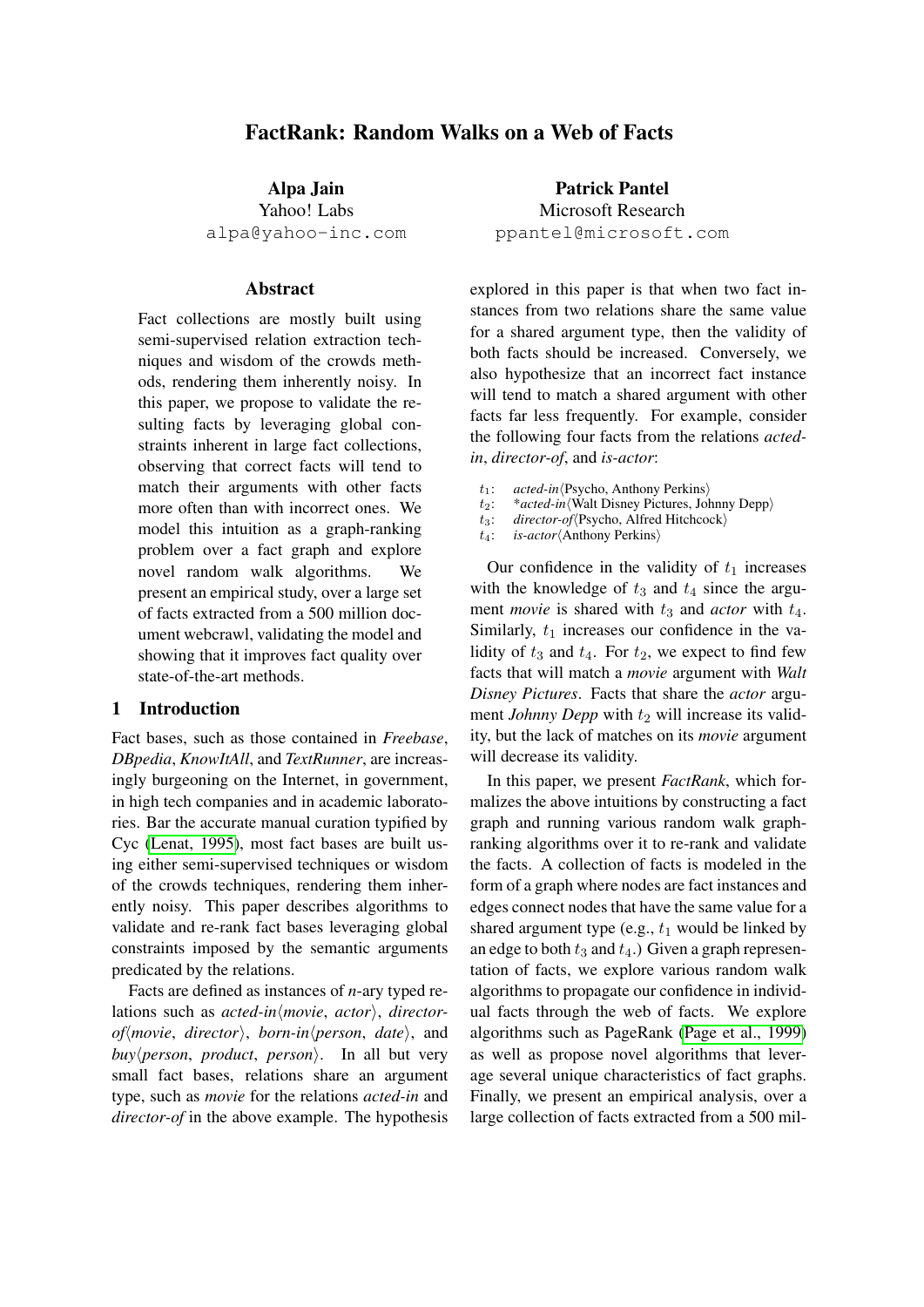# FactRank: Random Walks on a Web of Facts

Alpa Jain Yahoo! Labs alpa@yahoo-inc.com

## Abstract

Fact collections are mostly built using semi-supervised relation extraction techniques and wisdom of the crowds methods, rendering them inherently noisy. In this paper, we propose to validate the resulting facts by leveraging global constraints inherent in large fact collections, observing that correct facts will tend to match their arguments with other facts more often than with incorrect ones. We model this intuition as a graph-ranking problem over a fact graph and explore novel random walk algorithms. We present an empirical study, over a large set of facts extracted from a 500 million document webcrawl, validating the model and showing that it improves fact quality over state-of-the-art methods.

## 1 Introduction

Fact bases, such as those contained in *Freebase*, *DBpedia*, *KnowItAll*, and *TextRunner*, are increasingly burgeoning on the Internet, in government, in high tech companies and in academic laboratories. Bar the accurate manual curation typified by Cyc [\(Lenat, 1995\)](#page-8-0), most fact bases are built using either semi-supervised techniques or wisdom of the crowds techniques, rendering them inherently noisy. This paper describes algorithms to validate and re-rank fact bases leveraging global constraints imposed by the semantic arguments predicated by the relations.

Facts are defined as instances of *n*-ary typed relations such as *acted-in* $\langle$ *movie*, *actor* $\rangle$ , *director* $of$ *movie, director), born-in* $\langle person, date \rangle$ , and  $buy\$ person, *product*, *person* $\rangle$ . In all but very small fact bases, relations share an argument type, such as *movie* for the relations *acted-in* and *director-of* in the above example. The hypothesis

Patrick Pantel Microsoft Research ppantel@microsoft.com

explored in this paper is that when two fact instances from two relations share the same value for a shared argument type, then the validity of both facts should be increased. Conversely, we also hypothesize that an incorrect fact instance will tend to match a shared argument with other facts far less frequently. For example, consider the following four facts from the relations *actedin*, *director-of*, and *is-actor*:

- $t_1$ : *acted-in*(Psycho, Anthony Perkins)
- t<sub>2</sub>: \**acted-in*<sup>{</sup>Walt Disney Pictures, Johnny Depp}<br>t<sub>3</sub>: *director-of*{Psycho, Alfred Hitchcock}
- director-of<sup>(</sup>Psycho, Alfred Hitchcock)
- t<sub>4</sub>: *is-actor* $\langle$ Anthony Perkins $\rangle$

Our confidence in the validity of  $t_1$  increases with the knowledge of  $t_3$  and  $t_4$  since the argument *movie* is shared with  $t_3$  and *actor* with  $t_4$ . Similarly,  $t_1$  increases our confidence in the validity of  $t_3$  and  $t_4$ . For  $t_2$ , we expect to find few facts that will match a *movie* argument with *Walt Disney Pictures*. Facts that share the *actor* argument *Johnny Depp* with  $t_2$  will increase its validity, but the lack of matches on its *movie* argument will decrease its validity.

In this paper, we present *FactRank*, which formalizes the above intuitions by constructing a fact graph and running various random walk graphranking algorithms over it to re-rank and validate the facts. A collection of facts is modeled in the form of a graph where nodes are fact instances and edges connect nodes that have the same value for a shared argument type (e.g.,  $t_1$  would be linked by an edge to both  $t_3$  and  $t_4$ .) Given a graph representation of facts, we explore various random walk algorithms to propagate our confidence in individual facts through the web of facts. We explore algorithms such as PageRank [\(Page et al., 1999\)](#page-8-1) as well as propose novel algorithms that leverage several unique characteristics of fact graphs. Finally, we present an empirical analysis, over a large collection of facts extracted from a 500 mil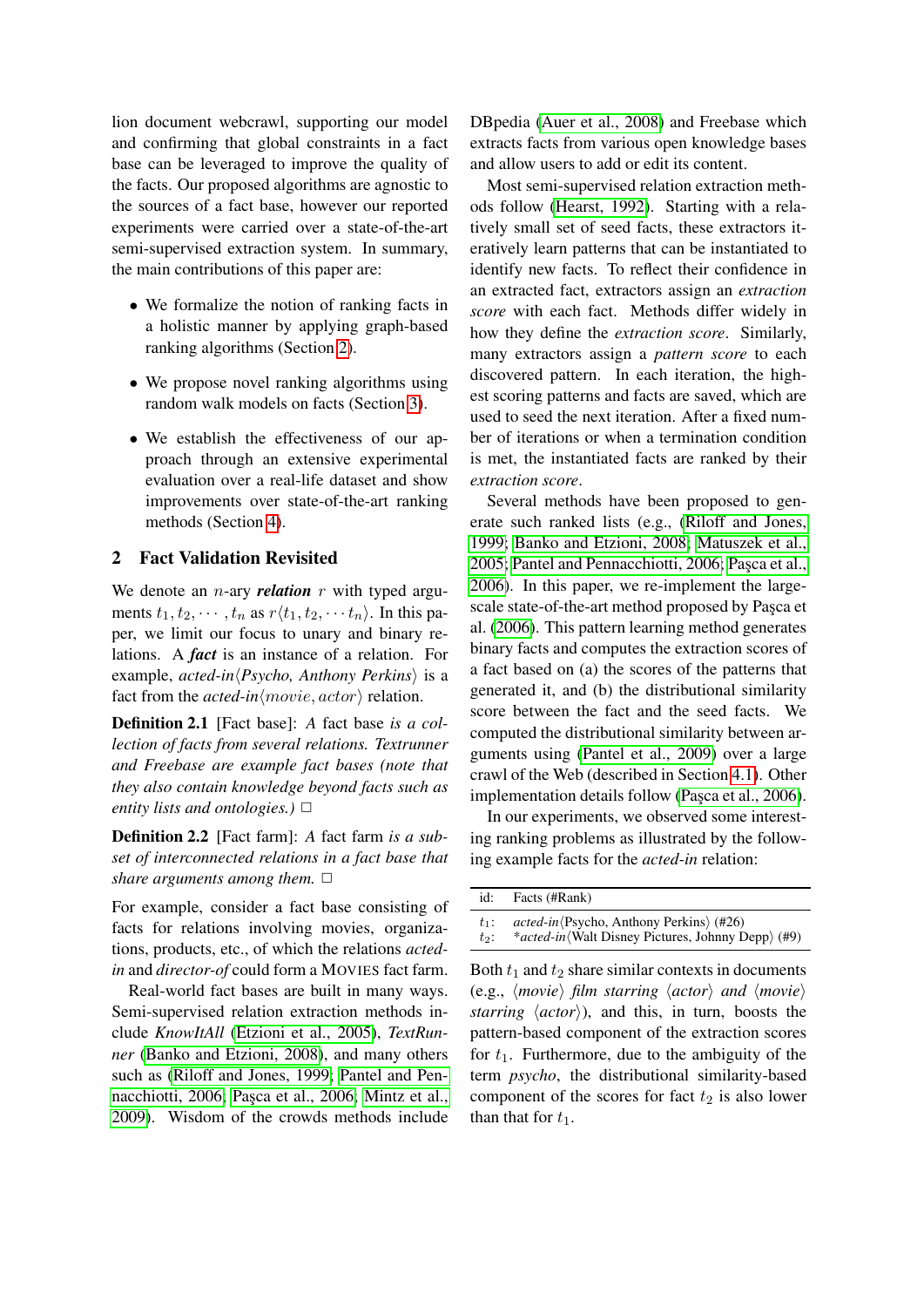lion document webcrawl, supporting our model and confirming that global constraints in a fact base can be leveraged to improve the quality of the facts. Our proposed algorithms are agnostic to the sources of a fact base, however our reported experiments were carried over a state-of-the-art semi-supervised extraction system. In summary, the main contributions of this paper are:

- We formalize the notion of ranking facts in a holistic manner by applying graph-based ranking algorithms (Section [2\)](#page-1-0).
- We propose novel ranking algorithms using random walk models on facts (Section [3\)](#page-2-0).
- We establish the effectiveness of our approach through an extensive experimental evaluation over a real-life dataset and show improvements over state-of-the-art ranking methods (Section [4\)](#page-4-0).

## <span id="page-1-0"></span>2 Fact Validation Revisited

We denote an *n*-ary *relation r* with typed arguments  $t_1, t_2, \dots, t_n$  as  $r\langle t_1, t_2, \dots, t_n \rangle$ . In this paper, we limit our focus to unary and binary relations. A *fact* is an instance of a relation. For example, *acted-in* $\langle Psycho, \text{Anthony } Perkins \rangle$  is a fact from the *acted-in* $\langle movie, actor \rangle$  relation.

Definition 2.1 [Fact base]: *A* fact base *is a collection of facts from several relations. Textrunner and Freebase are example fact bases (note that they also contain knowledge beyond facts such as entity lists and ontologies.*)  $\Box$ 

Definition 2.2 [Fact farm]: *A* fact farm *is a subset of interconnected relations in a fact base that share arguments among them.*  $\Box$ 

For example, consider a fact base consisting of facts for relations involving movies, organizations, products, etc., of which the relations *actedin* and *director-of* could form a MOVIES fact farm.

Real-world fact bases are built in many ways. Semi-supervised relation extraction methods include *KnowItAll* [\(Etzioni et al., 2005\)](#page-8-2), *TextRunner* [\(Banko and Etzioni, 2008\)](#page-8-3), and many others such as [\(Riloff and Jones, 1999;](#page-8-4) [Pantel and Pen](#page-8-5)[nacchiotti, 2006;](#page-8-5) Pasca et al., 2006; [Mintz et al.,](#page-8-7) [2009\)](#page-8-7). Wisdom of the crowds methods include DBpedia [\(Auer et al., 2008\)](#page-8-8) and Freebase which extracts facts from various open knowledge bases and allow users to add or edit its content.

Most semi-supervised relation extraction methods follow [\(Hearst, 1992\)](#page-8-9). Starting with a relatively small set of seed facts, these extractors iteratively learn patterns that can be instantiated to identify new facts. To reflect their confidence in an extracted fact, extractors assign an *extraction score* with each fact. Methods differ widely in how they define the *extraction score*. Similarly, many extractors assign a *pattern score* to each discovered pattern. In each iteration, the highest scoring patterns and facts are saved, which are used to seed the next iteration. After a fixed number of iterations or when a termination condition is met, the instantiated facts are ranked by their *extraction score*.

Several methods have been proposed to generate such ranked lists (e.g., [\(Riloff and Jones,](#page-8-4) [1999;](#page-8-4) [Banko and Etzioni, 2008;](#page-8-3) [Matuszek et al.,](#page-8-10) [2005;](#page-8-10) [Pantel and Pennacchiotti, 2006;](#page-8-5) Pasca et al., [2006\)](#page-8-6). In this paper, we re-implement the largescale state-of-the-art method proposed by Paşca et al. [\(2006\)](#page-8-6). This pattern learning method generates binary facts and computes the extraction scores of a fact based on (a) the scores of the patterns that generated it, and (b) the distributional similarity score between the fact and the seed facts. We computed the distributional similarity between arguments using [\(Pantel et al., 2009\)](#page-8-11) over a large crawl of the Web (described in Section [4.1\)](#page-4-1). Other implementation details follow (Pasca et al., 2006).

In our experiments, we observed some interesting ranking problems as illustrated by the following example facts for the *acted-in* relation:

| id:     | Facts (#Rank)                                                      |
|---------|--------------------------------------------------------------------|
| $t_1$ : | $\alpha$ cted-in $\langle$ Psycho, Anthony Perkins $\rangle$ (#26) |
| $t_2$ : | <i>*acted-in</i> (Walt Disney Pictures, Johnny Depp) (#9)          |

Both  $t_1$  and  $t_2$  share similar contexts in documents (e.g.,  $\langle movie \rangle$  *film starring*  $\langle actor \rangle$  *and*  $\langle movie \rangle$ *starring*  $\langle actor \rangle$ ), and this, in turn, boosts the pattern-based component of the extraction scores for  $t_1$ . Furthermore, due to the ambiguity of the term *psycho*, the distributional similarity-based component of the scores for fact  $t_2$  is also lower than that for  $t_1$ .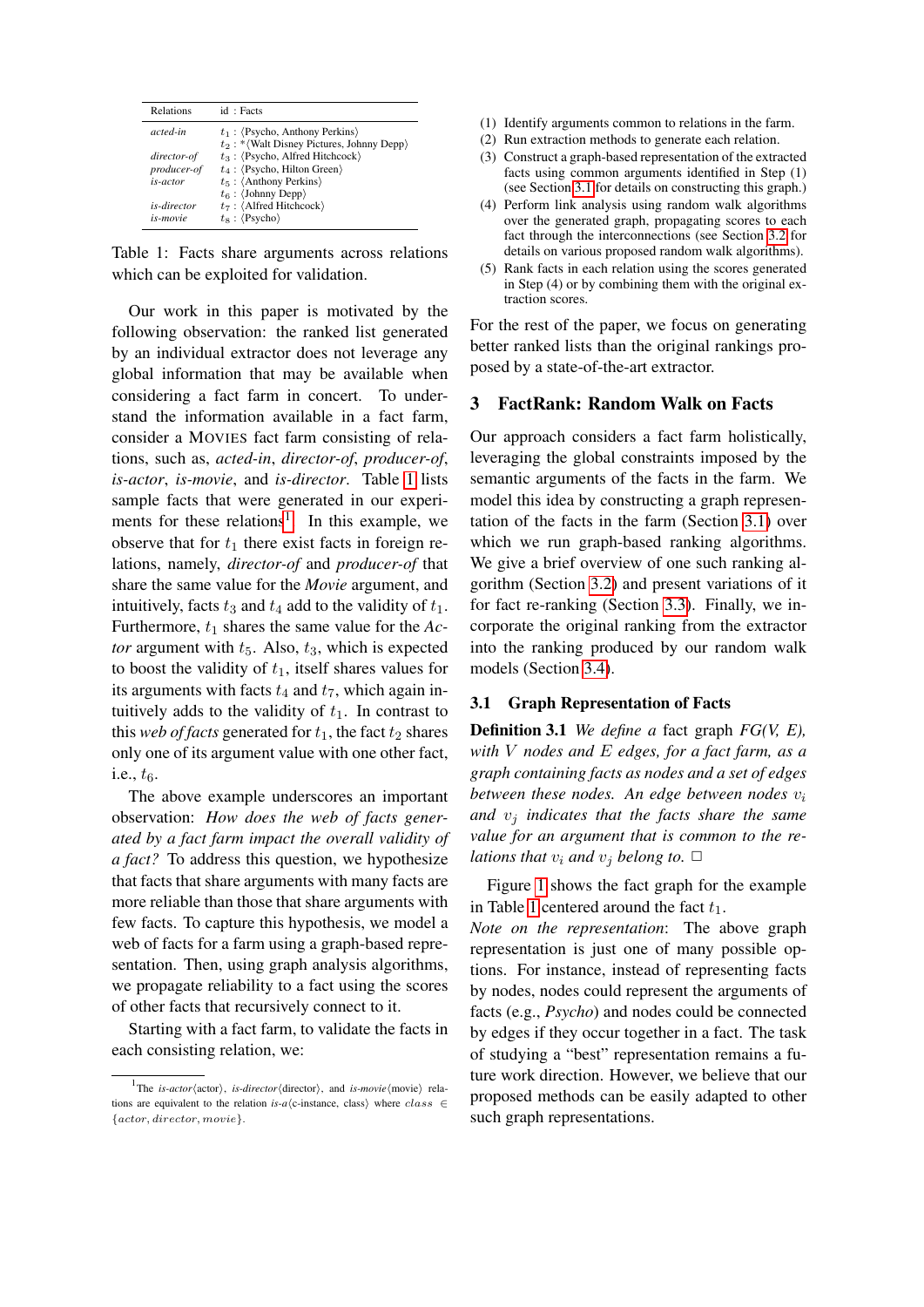| <b>Relations</b>           | id: Facts                                                                          |
|----------------------------|------------------------------------------------------------------------------------|
| acted-in                   | $t_1$ : (Psycho, Anthony Perkins)<br>$t_2$ : * (Walt Disney Pictures, Johnny Depp) |
| director-of<br>producer-of | $t_3$ : (Psycho, Alfred Hitchcock)<br>$t_4$ : (Psycho, Hilton Green)               |
| is-actor                   | $t_5$ : $\langle$ Anthony Perkins $\rangle$<br>$t_6$ : (Johnny Depp)               |
| is-director<br>is-movie    | $t_7$ : $\langle$ Alfred Hitchcock $\rangle$<br>$t_8$ : $\langle$ Psycho $\rangle$ |

<span id="page-2-1"></span>Table 1: Facts share arguments across relations which can be exploited for validation.

Our work in this paper is motivated by the following observation: the ranked list generated by an individual extractor does not leverage any global information that may be available when considering a fact farm in concert. To understand the information available in a fact farm, consider a MOVIES fact farm consisting of relations, such as, *acted-in*, *director-of*, *producer-of*, *is-actor*, *is-movie*, and *is-director*. Table [1](#page-2-1) lists sample facts that were generated in our experi-ments for these relations<sup>[1](#page-2-2)</sup>. In this example, we observe that for  $t_1$  there exist facts in foreign relations, namely, *director-of* and *producer-of* that share the same value for the *Movie* argument, and intuitively, facts  $t_3$  and  $t_4$  add to the validity of  $t_1$ . Furthermore,  $t_1$  shares the same value for the  $Ac$ *tor* argument with  $t_5$ . Also,  $t_3$ , which is expected to boost the validity of  $t_1$ , itself shares values for its arguments with facts  $t_4$  and  $t_7$ , which again intuitively adds to the validity of  $t_1$ . In contrast to this *web of facts* generated for  $t_1$ , the fact  $t_2$  shares only one of its argument value with one other fact, i.e.,  $t<sub>6</sub>$ .

The above example underscores an important observation: *How does the web of facts generated by a fact farm impact the overall validity of a fact?* To address this question, we hypothesize that facts that share arguments with many facts are more reliable than those that share arguments with few facts. To capture this hypothesis, we model a web of facts for a farm using a graph-based representation. Then, using graph analysis algorithms, we propagate reliability to a fact using the scores of other facts that recursively connect to it.

Starting with a fact farm, to validate the facts in each consisting relation, we:

- (1) Identify arguments common to relations in the farm.
- (2) Run extraction methods to generate each relation.
- (3) Construct a graph-based representation of the extracted facts using common arguments identified in Step (1) (see Section [3.1](#page-2-3) for details on constructing this graph.)
- (4) Perform link analysis using random walk algorithms over the generated graph, propagating scores to each fact through the interconnections (see Section [3.2](#page-3-0) for details on various proposed random walk algorithms).
- (5) Rank facts in each relation using the scores generated in Step (4) or by combining them with the original extraction scores.

For the rest of the paper, we focus on generating better ranked lists than the original rankings proposed by a state-of-the-art extractor.

### <span id="page-2-0"></span>3 FactRank: Random Walk on Facts

Our approach considers a fact farm holistically, leveraging the global constraints imposed by the semantic arguments of the facts in the farm. We model this idea by constructing a graph representation of the facts in the farm (Section [3.1\)](#page-2-3) over which we run graph-based ranking algorithms. We give a brief overview of one such ranking algorithm (Section [3.2\)](#page-3-0) and present variations of it for fact re-ranking (Section [3.3\)](#page-3-1). Finally, we incorporate the original ranking from the extractor into the ranking produced by our random walk models (Section [3.4\)](#page-4-2).

## <span id="page-2-3"></span>3.1 Graph Representation of Facts

Definition 3.1 *We define a* fact graph *FG(V, E), with* V *nodes and* E *edges, for a fact farm, as a graph containing facts as nodes and a set of edges between these nodes. An edge between nodes*  $v_i$ and  $v_j$  *indicates that the facts share the same value for an argument that is common to the relations that*  $v_i$  *and*  $v_j$  *belong to.*  $\Box$ 

Figure [1](#page-2-1) shows the fact graph for the example in Table [1](#page-2-1) centered around the fact  $t_1$ .

*Note on the representation*: The above graph representation is just one of many possible options. For instance, instead of representing facts by nodes, nodes could represent the arguments of facts (e.g., *Psycho*) and nodes could be connected by edges if they occur together in a fact. The task of studying a "best" representation remains a future work direction. However, we believe that our proposed methods can be easily adapted to other such graph representations.

<span id="page-2-2"></span><sup>&</sup>lt;sup>1</sup>The *is-actor* (actor), *is-director* (director), and *is-movie* (movie) relations are equivalent to the relation *is-a* $\langle$ c-instance, class) where *class* ∈ {actor, director, movie}.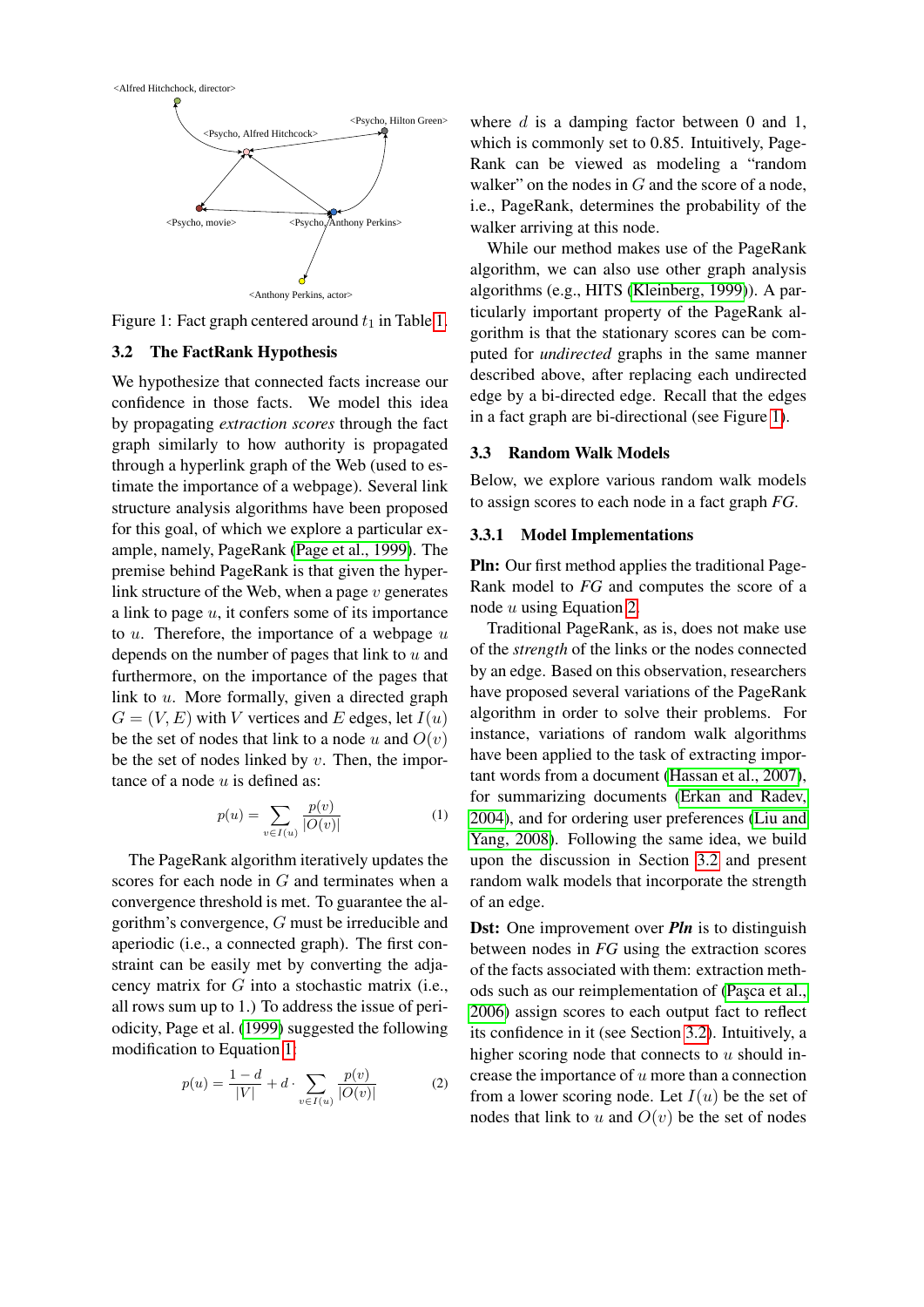

<span id="page-3-3"></span>Figure 1: Fact graph centered around  $t_1$  in Table [1.](#page-2-1)

## <span id="page-3-0"></span>3.2 The FactRank Hypothesis

We hypothesize that connected facts increase our confidence in those facts. We model this idea by propagating *extraction scores* through the fact graph similarly to how authority is propagated through a hyperlink graph of the Web (used to estimate the importance of a webpage). Several link structure analysis algorithms have been proposed for this goal, of which we explore a particular example, namely, PageRank [\(Page et al., 1999\)](#page-8-1). The premise behind PageRank is that given the hyperlink structure of the Web, when a page  $v$  generates a link to page  $u$ , it confers some of its importance to  $u$ . Therefore, the importance of a webpage  $u$ depends on the number of pages that link to  $u$  and furthermore, on the importance of the pages that link to u. More formally, given a directed graph  $G = (V, E)$  with V vertices and E edges, let  $I(u)$ be the set of nodes that link to a node u and  $O(v)$ be the set of nodes linked by  $v$ . Then, the importance of a node  $u$  is defined as:

<span id="page-3-2"></span>
$$
p(u) = \sum_{v \in I(u)} \frac{p(v)}{|O(v)|}
$$
 (1)

The PageRank algorithm iteratively updates the scores for each node in G and terminates when a convergence threshold is met. To guarantee the algorithm's convergence, G must be irreducible and aperiodic (i.e., a connected graph). The first constraint can be easily met by converting the adjacency matrix for G into a stochastic matrix (i.e., all rows sum up to 1.) To address the issue of periodicity, Page et al. [\(1999\)](#page-8-1) suggested the following modification to Equation [1:](#page-3-2)

<span id="page-3-4"></span>
$$
p(u) = \frac{1 - d}{|V|} + d \cdot \sum_{v \in I(u)} \frac{p(v)}{|O(v)|}
$$
 (2)

where  $d$  is a damping factor between 0 and 1, which is commonly set to 0.85. Intuitively, Page-Rank can be viewed as modeling a "random walker" on the nodes in  $G$  and the score of a node, i.e., PageRank, determines the probability of the walker arriving at this node.

While our method makes use of the PageRank algorithm, we can also use other graph analysis algorithms (e.g., HITS [\(Kleinberg, 1999\)](#page-8-12)). A particularly important property of the PageRank algorithm is that the stationary scores can be computed for *undirected* graphs in the same manner described above, after replacing each undirected edge by a bi-directed edge. Recall that the edges in a fact graph are bi-directional (see Figure [1\)](#page-3-3).

### <span id="page-3-1"></span>3.3 Random Walk Models

Below, we explore various random walk models to assign scores to each node in a fact graph *FG*.

### 3.3.1 Model Implementations

Pln: Our first method applies the traditional Page-Rank model to *FG* and computes the score of a node u using Equation [2.](#page-3-4)

Traditional PageRank, as is, does not make use of the *strength* of the links or the nodes connected by an edge. Based on this observation, researchers have proposed several variations of the PageRank algorithm in order to solve their problems. For instance, variations of random walk algorithms have been applied to the task of extracting important words from a document [\(Hassan et al., 2007\)](#page-8-13), for summarizing documents [\(Erkan and Radev,](#page-8-14) [2004\)](#page-8-14), and for ordering user preferences [\(Liu and](#page-8-15) [Yang, 2008\)](#page-8-15). Following the same idea, we build upon the discussion in Section [3.2](#page-3-0) and present random walk models that incorporate the strength of an edge.

**Dst:** One improvement over *Pln* is to distinguish between nodes in *FG* using the extraction scores of the facts associated with them: extraction methods such as our reimplementation of (Pasca et al., [2006\)](#page-8-6) assign scores to each output fact to reflect its confidence in it (see Section [3.2\)](#page-3-0). Intuitively, a higher scoring node that connects to  $u$  should increase the importance of  $u$  more than a connection from a lower scoring node. Let  $I(u)$  be the set of nodes that link to u and  $O(v)$  be the set of nodes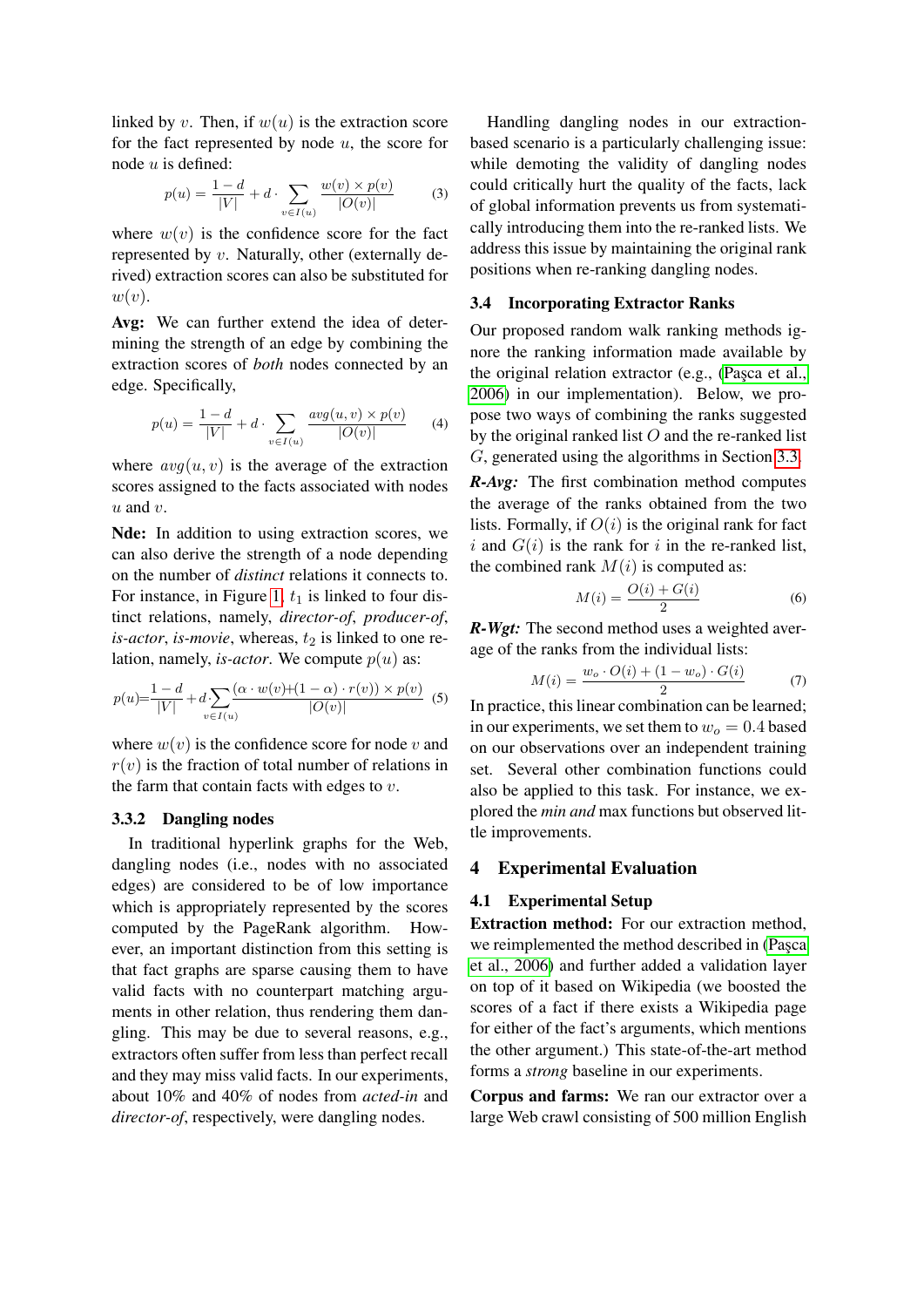linked by v. Then, if  $w(u)$  is the extraction score for the fact represented by node  $u$ , the score for node  $u$  is defined:

$$
p(u) = \frac{1 - d}{|V|} + d \cdot \sum_{v \in I(u)} \frac{w(v) \times p(v)}{|O(v)|} \tag{3}
$$

where  $w(v)$  is the confidence score for the fact represented by v. Naturally, other (externally derived) extraction scores can also be substituted for  $w(v)$ .

Avg: We can further extend the idea of determining the strength of an edge by combining the extraction scores of *both* nodes connected by an edge. Specifically,

$$
p(u) = \frac{1 - d}{|V|} + d \cdot \sum_{v \in I(u)} \frac{avg(u, v) \times p(v)}{|O(v)|} \tag{4}
$$

where  $avg(u, v)$  is the average of the extraction scores assigned to the facts associated with nodes  $u$  and  $v$ .

Nde: In addition to using extraction scores, we can also derive the strength of a node depending on the number of *distinct* relations it connects to. For instance, in Figure [1,](#page-3-3)  $t_1$  is linked to four distinct relations, namely, *director-of*, *producer-of*,  $is-actor$ , *is-movie*, whereas,  $t_2$  is linked to one relation, namely, *is-actor*. We compute  $p(u)$  as:

$$
p(u) = \frac{1 - d}{|V|} + d \sum_{v \in I(u)} \frac{(\alpha \cdot w(v) + (1 - \alpha) \cdot r(v)) \times p(v)}{|O(v)|} \tag{5}
$$

where  $w(v)$  is the confidence score for node v and  $r(v)$  is the fraction of total number of relations in the farm that contain facts with edges to  $v$ .

#### 3.3.2 Dangling nodes

In traditional hyperlink graphs for the Web, dangling nodes (i.e., nodes with no associated edges) are considered to be of low importance which is appropriately represented by the scores computed by the PageRank algorithm. However, an important distinction from this setting is that fact graphs are sparse causing them to have valid facts with no counterpart matching arguments in other relation, thus rendering them dangling. This may be due to several reasons, e.g., extractors often suffer from less than perfect recall and they may miss valid facts. In our experiments, about 10% and 40% of nodes from *acted-in* and *director-of*, respectively, were dangling nodes.

Handling dangling nodes in our extractionbased scenario is a particularly challenging issue: while demoting the validity of dangling nodes could critically hurt the quality of the facts, lack of global information prevents us from systematically introducing them into the re-ranked lists. We address this issue by maintaining the original rank positions when re-ranking dangling nodes.

#### <span id="page-4-2"></span>3.4 Incorporating Extractor Ranks

Our proposed random walk ranking methods ignore the ranking information made available by the original relation extractor (e.g., (Pasca et al., [2006\)](#page-8-6) in our implementation). Below, we propose two ways of combining the ranks suggested by the original ranked list  $O$  and the re-ranked list G, generated using the algorithms in Section [3.3.](#page-3-1)

*R-Avg:* The first combination method computes the average of the ranks obtained from the two lists. Formally, if  $O(i)$  is the original rank for fact i and  $G(i)$  is the rank for i in the re-ranked list, the combined rank  $M(i)$  is computed as:

$$
M(i) = \frac{O(i) + G(i)}{2}
$$
 (6)

*R-Wgt:* The second method uses a weighted average of the ranks from the individual lists:

$$
M(i) = \frac{w_o \cdot O(i) + (1 - w_o) \cdot G(i)}{2} \tag{7}
$$

In practice, this linear combination can be learned; in our experiments, we set them to  $w<sub>o</sub> = 0.4$  based on our observations over an independent training set. Several other combination functions could also be applied to this task. For instance, we explored the *min and* max functions but observed little improvements.

## <span id="page-4-0"></span>4 Experimental Evaluation

#### <span id="page-4-1"></span>4.1 Experimental Setup

Extraction method: For our extraction method, we reimplemented the method described in (Pasca [et al., 2006\)](#page-8-6) and further added a validation layer on top of it based on Wikipedia (we boosted the scores of a fact if there exists a Wikipedia page for either of the fact's arguments, which mentions the other argument.) This state-of-the-art method forms a *strong* baseline in our experiments.

Corpus and farms: We ran our extractor over a large Web crawl consisting of 500 million English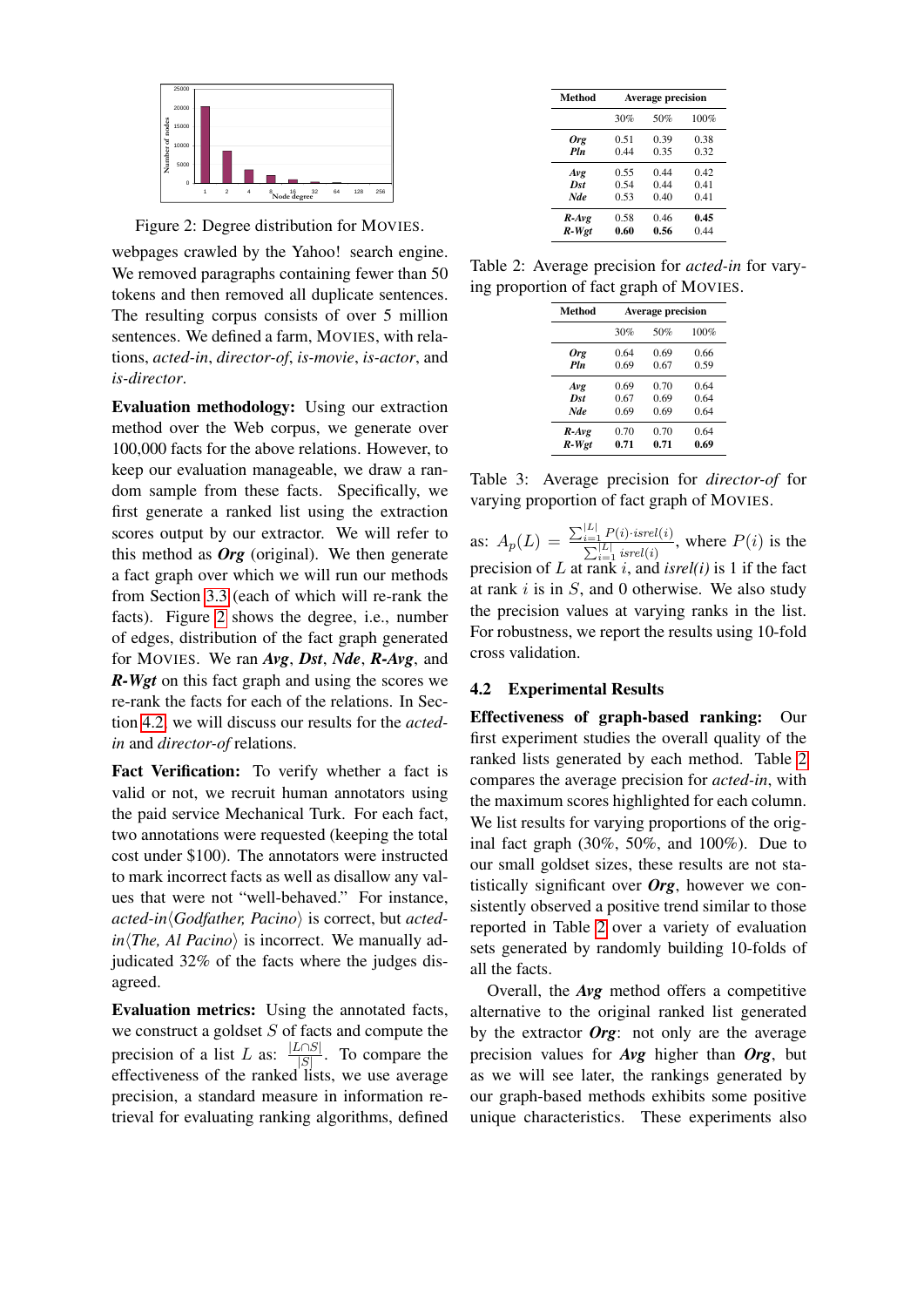

<span id="page-5-0"></span>Figure 2: Degree distribution for MOVIES.

webpages crawled by the Yahoo! search engine. We removed paragraphs containing fewer than 50 tokens and then removed all duplicate sentences. The resulting corpus consists of over 5 million sentences. We defined a farm, MOVIES, with relations, *acted-in*, *director-of*, *is-movie*, *is-actor*, and *is-director*.

Evaluation methodology: Using our extraction method over the Web corpus, we generate over 100,000 facts for the above relations. However, to keep our evaluation manageable, we draw a random sample from these facts. Specifically, we first generate a ranked list using the extraction scores output by our extractor. We will refer to this method as *Org* (original). We then generate a fact graph over which we will run our methods from Section [3.3](#page-3-1) (each of which will re-rank the facts). Figure [2](#page-5-0) shows the degree, i.e., number of edges, distribution of the fact graph generated for MOVIES. We ran *Avg*, *Dst*, *Nde*, *R-Avg*, and *R-Wgt* on this fact graph and using the scores we re-rank the facts for each of the relations. In Section [4.2,](#page-5-1) we will discuss our results for the *actedin* and *director-of* relations.

Fact Verification: To verify whether a fact is valid or not, we recruit human annotators using the paid service Mechanical Turk. For each fact, two annotations were requested (keeping the total cost under \$100). The annotators were instructed to mark incorrect facts as well as disallow any values that were not "well-behaved." For instance, *acted-in* $\langle$ *Godfather, Pacino* $\rangle$  is correct, but *acted* $in$ *The, Al Pacino*) is incorrect. We manually adjudicated 32% of the facts where the judges disagreed.

Evaluation metrics: Using the annotated facts, we construct a goldset  $S$  of facts and compute the precision of a list L as:  $\frac{|L \cap S|}{|S|}$  $\frac{|\mathcal{S}|}{|\mathcal{S}|}$ . To compare the effectiveness of the ranked lists, we use average precision, a standard measure in information retrieval for evaluating ranking algorithms, defined

| Method     | <b>Average precision</b> |      |      |  |
|------------|--------------------------|------|------|--|
|            | 30%                      | 50%  | 100% |  |
| Org        | 0.51                     | 0.39 | 0.38 |  |
| Pln        | 0.44                     | 0.35 | 0.32 |  |
| Avg        | 0.55                     | 0.44 | 0.42 |  |
| Dst        | 0.54                     | 0.44 | 0.41 |  |
| <b>Nde</b> | 0.53                     | 0.40 | 0.41 |  |
| $R$ -Avg   | 0.58                     | 0.46 | 0.45 |  |
| R-Wgt      | 0.60                     | 0.56 | 0.44 |  |

Table 2: Average precision for *acted-in* for varying proportion of fact graph of MOVIES.

<span id="page-5-2"></span>

| Method   | <b>Average precision</b> |      |      |  |
|----------|--------------------------|------|------|--|
|          | 30%                      | 50%  | 100% |  |
| Org      | 0.64                     | 0.69 | 0.66 |  |
| Pln      | 0.69                     | 0.67 | 0.59 |  |
| Avg      | 0.69                     | 0.70 | 0.64 |  |
| Dst      | 0.67                     | 0.69 | 0.64 |  |
| Nde      | 0.69                     | 0.69 | 0.64 |  |
| $R$ -Avg | 0.70                     | 0.70 | 0.64 |  |
| R-Wgt    | 0.71                     | 0.71 | 0.69 |  |

<span id="page-5-3"></span>Table 3: Average precision for *director-of* for varying proportion of fact graph of MOVIES.

as:  $A_p(L) = \frac{\sum_{i=1}^{|L|} P(i) \cdot isrel(i)}{\sum_{i=1}^{|L|} [S(n)]}$  $\frac{\sum_{i=1}^{\lfloor L \rfloor} I^{(i)}$  is the  $P(i)$  is the  $\sum_{i=1}^{\lfloor L \rfloor}$  isrel(i) precision of L at rank i, and *isrel(i)* is 1 if the fact at rank  $i$  is in  $S$ , and 0 otherwise. We also study the precision values at varying ranks in the list. For robustness, we report the results using 10-fold cross validation.

## <span id="page-5-1"></span>4.2 Experimental Results

Effectiveness of graph-based ranking: Our first experiment studies the overall quality of the ranked lists generated by each method. Table [2](#page-5-2) compares the average precision for *acted-in*, with the maximum scores highlighted for each column. We list results for varying proportions of the original fact graph (30%, 50%, and 100%). Due to our small goldset sizes, these results are not statistically significant over *Org*, however we consistently observed a positive trend similar to those reported in Table [2](#page-5-2) over a variety of evaluation sets generated by randomly building 10-folds of all the facts.

Overall, the *Avg* method offers a competitive alternative to the original ranked list generated by the extractor *Org*: not only are the average precision values for *Avg* higher than *Org*, but as we will see later, the rankings generated by our graph-based methods exhibits some positive unique characteristics. These experiments also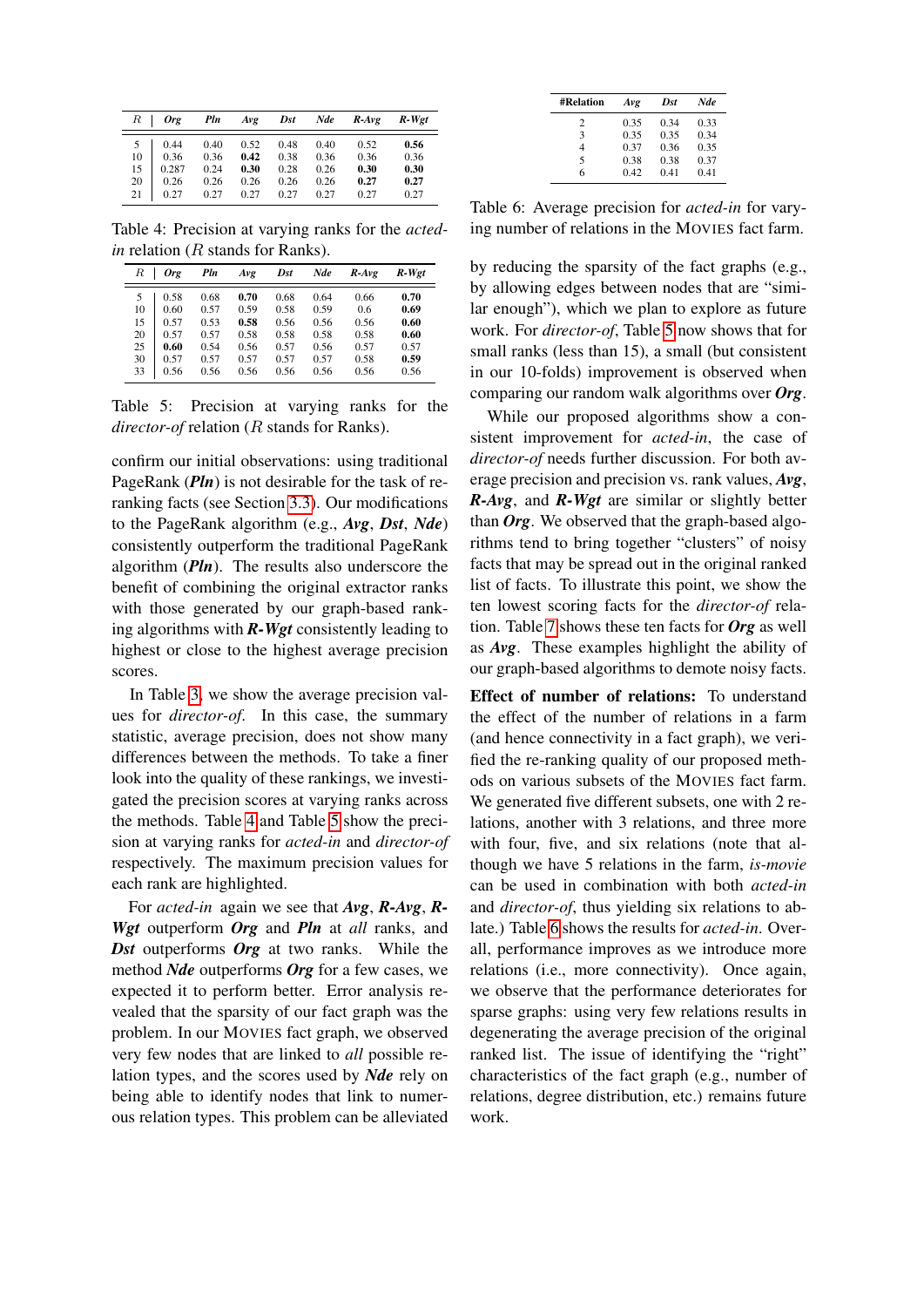| $\,$ R | <b>Org</b> | Pln  | Avg  | Dst  | Nde  | $R$ -Avg | R-Wet |
|--------|------------|------|------|------|------|----------|-------|
| 5      | 0.44       | 0.40 | 0.52 | 0.48 | 0.40 | 0.52     | 0.56  |
| 10     | 0.36       | 0.36 | 0.42 | 0.38 | 0.36 | 0.36     | 0.36  |
| 15     | 0.287      | 0.24 | 0.30 | 0.28 | 0.26 | 0.30     | 0.30  |
| 20     | 0.26       | 0.26 | 0.26 | 0.26 | 0.26 | 0.27     | 0.27  |
| 21     | 0.27       | 0.27 | 0.27 | 0.27 | 0.27 | 0.27     | 0.27  |

<span id="page-6-0"></span>Table 4: Precision at varying ranks for the *actedin* relation (R stands for Ranks).

| R  | Ore  | Pln  | Avg  | Dst  | Nde  | $R$ -Ave | R-Wet |
|----|------|------|------|------|------|----------|-------|
| 5  | 0.58 | 0.68 | 0.70 | 0.68 | 0.64 | 0.66     | 0.70  |
| 10 | 0.60 | 0.57 | 0.59 | 0.58 | 0.59 | 0.6      | 0.69  |
| 15 | 0.57 | 0.53 | 0.58 | 0.56 | 0.56 | 0.56     | 0.60  |
| 20 | 0.57 | 0.57 | 0.58 | 0.58 | 0.58 | 0.58     | 0.60  |
| 25 | 0.60 | 0.54 | 0.56 | 0.57 | 0.56 | 0.57     | 0.57  |
| 30 | 0.57 | 0.57 | 0.57 | 0.57 | 0.57 | 0.58     | 0.59  |
| 33 | 0.56 | 0.56 | 0.56 | 0.56 | 0.56 | 0.56     | 0.56  |

<span id="page-6-1"></span>Table 5: Precision at varying ranks for the *director-of* relation (R stands for Ranks).

confirm our initial observations: using traditional PageRank (*Pln*) is not desirable for the task of reranking facts (see Section [3.3\)](#page-3-1). Our modifications to the PageRank algorithm (e.g., *Avg*, *Dst*, *Nde*) consistently outperform the traditional PageRank algorithm (*Pln*). The results also underscore the benefit of combining the original extractor ranks with those generated by our graph-based ranking algorithms with *R-Wgt* consistently leading to highest or close to the highest average precision scores.

In Table [3,](#page-5-3) we show the average precision values for *director-of*. In this case, the summary statistic, average precision, does not show many differences between the methods. To take a finer look into the quality of these rankings, we investigated the precision scores at varying ranks across the methods. Table [4](#page-6-0) and Table [5](#page-6-1) show the precision at varying ranks for *acted-in* and *director-of* respectively. The maximum precision values for each rank are highlighted.

For *acted-in* again we see that *Avg*, *R-Avg*, *R-Wgt* outperform *Org* and *Pln* at *all* ranks, and *Dst* outperforms *Org* at two ranks. While the method *Nde* outperforms *Org* for a few cases, we expected it to perform better. Error analysis revealed that the sparsity of our fact graph was the problem. In our MOVIES fact graph, we observed very few nodes that are linked to *all* possible relation types, and the scores used by *Nde* rely on being able to identify nodes that link to numerous relation types. This problem can be alleviated

| <b>#Relation</b> | Avg  | Dst  | Nde  |
|------------------|------|------|------|
| 2                | 0.35 | 0.34 | 0.33 |
| 3                | 0.35 | 0.35 | 0.34 |
| 4                | 0.37 | 0.36 | 0.35 |
| 5                | 0.38 | 0.38 | 0.37 |
| 6                | 0.42 | 0.41 | 0.41 |

<span id="page-6-2"></span>Table 6: Average precision for *acted-in* for varying number of relations in the MOVIES fact farm.

by reducing the sparsity of the fact graphs (e.g., by allowing edges between nodes that are "similar enough"), which we plan to explore as future work. For *director-of*, Table [5](#page-6-1) now shows that for small ranks (less than 15), a small (but consistent in our 10-folds) improvement is observed when comparing our random walk algorithms over *Org*.

While our proposed algorithms show a consistent improvement for *acted-in*, the case of *director-of* needs further discussion. For both average precision and precision vs. rank values, *Avg*, *R-Avg*, and *R-Wgt* are similar or slightly better than *Org*. We observed that the graph-based algorithms tend to bring together "clusters" of noisy facts that may be spread out in the original ranked list of facts. To illustrate this point, we show the ten lowest scoring facts for the *director-of* relation. Table [7](#page-7-0) shows these ten facts for *Org* as well as *Avg*. These examples highlight the ability of our graph-based algorithms to demote noisy facts.

Effect of number of relations: To understand the effect of the number of relations in a farm (and hence connectivity in a fact graph), we verified the re-ranking quality of our proposed methods on various subsets of the MOVIES fact farm. We generated five different subsets, one with 2 relations, another with 3 relations, and three more with four, five, and six relations (note that although we have 5 relations in the farm, *is-movie* can be used in combination with both *acted-in* and *director-of*, thus yielding six relations to ablate.) Table [6](#page-6-2) shows the results for *acted-in*. Overall, performance improves as we introduce more relations (i.e., more connectivity). Once again, we observe that the performance deteriorates for sparse graphs: using very few relations results in degenerating the average precision of the original ranked list. The issue of identifying the "right" characteristics of the fact graph (e.g., number of relations, degree distribution, etc.) remains future work.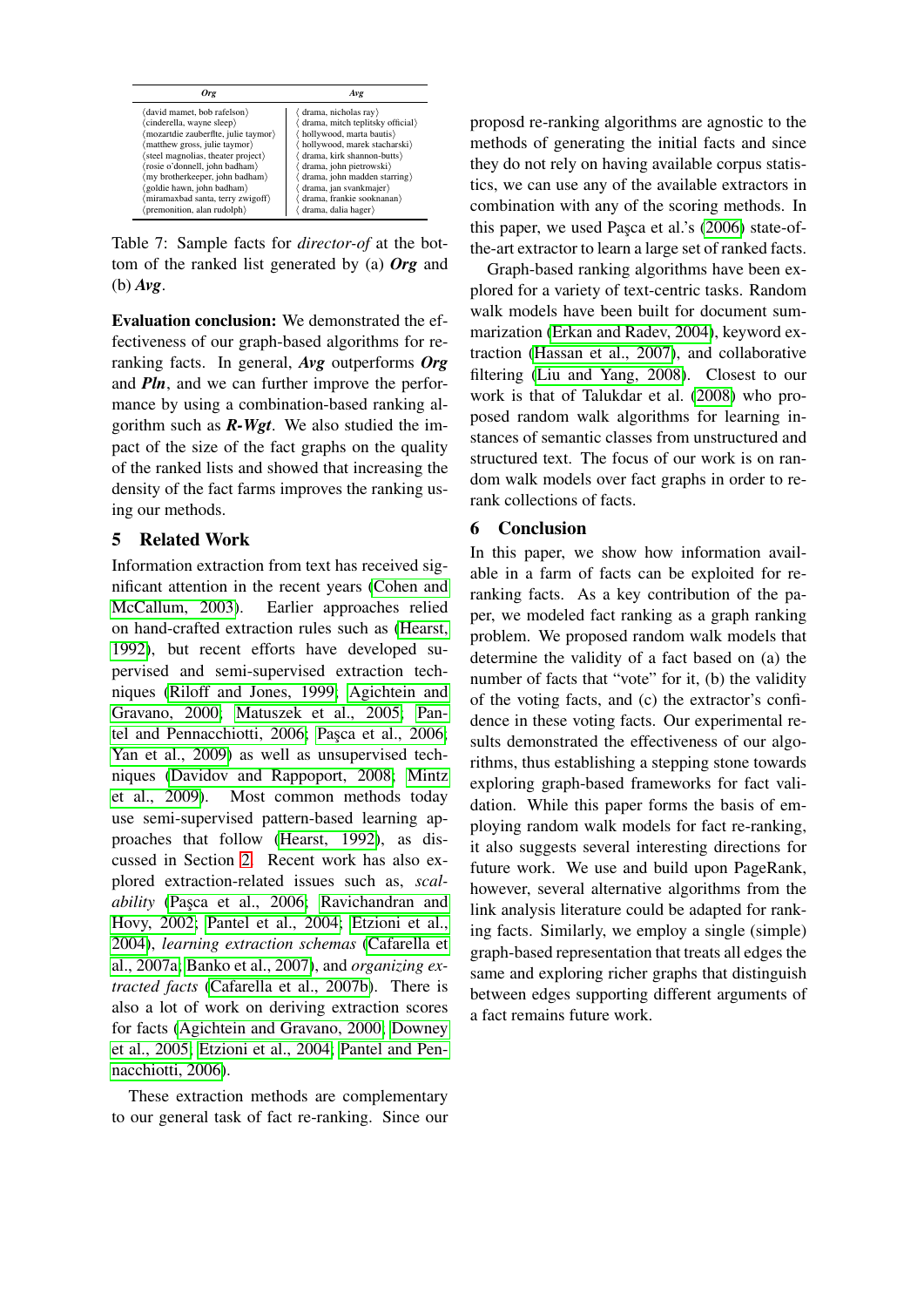| Oro                                  | Avg                              |
|--------------------------------------|----------------------------------|
| (david mamet, bob rafelson)          | (drama, nicholas ray)            |
| 'cinderella, wayne sleep)            | drama, mitch teplitsky official) |
| (mozartdie zauberflte, julie taymor) | hollywood, marta bautis)         |
| matthew gross, julie taymor)         | hollywood, marek stacharski)     |
| steel magnolias, theater project)    | drama, kirk shannon-butts)       |
| (rosie o'donnell, john badham)       | drama, john pietrowski           |
| (my brotherkeeper, john badham)      | drama, john madden starring)     |
| (goldie hawn, john badham)           | drama, jan svankmajer            |
| miramaxbad santa, terry zwigoff)     | drama, frankie sooknanan         |
| (premonition, alan rudolph)          | drama, dalia hager)              |

<span id="page-7-0"></span>Table 7: Sample facts for *director-of* at the bottom of the ranked list generated by (a) *Org* and (b) *Avg*.

Evaluation conclusion: We demonstrated the effectiveness of our graph-based algorithms for reranking facts. In general, *Avg* outperforms *Org* and *Pln*, and we can further improve the performance by using a combination-based ranking algorithm such as *R-Wgt*. We also studied the impact of the size of the fact graphs on the quality of the ranked lists and showed that increasing the density of the fact farms improves the ranking using our methods.

## 5 Related Work

Information extraction from text has received significant attention in the recent years [\(Cohen and](#page-8-16) [McCallum, 2003\)](#page-8-16). Earlier approaches relied on hand-crafted extraction rules such as [\(Hearst,](#page-8-9) [1992\)](#page-8-9), but recent efforts have developed supervised and semi-supervised extraction techniques [\(Riloff and Jones, 1999;](#page-8-4) [Agichtein and](#page-8-17) [Gravano, 2000;](#page-8-17) [Matuszek et al., 2005;](#page-8-10) [Pan](#page-8-5)[tel and Pennacchiotti, 2006;](#page-8-5) Paşca et al., 2006; [Yan et al., 2009\)](#page-8-18) as well as unsupervised techniques [\(Davidov and Rappoport, 2008;](#page-8-19) [Mintz](#page-8-7) [et al., 2009\)](#page-8-7). Most common methods today use semi-supervised pattern-based learning approaches that follow [\(Hearst, 1992\)](#page-8-9), as discussed in Section [2.](#page-1-0) Recent work has also explored extraction-related issues such as, *scalability* (Paşca et al., 2006; [Ravichandran and](#page-8-20) [Hovy, 2002;](#page-8-20) [Pantel et al., 2004;](#page-8-21) [Etzioni et al.,](#page-8-22) [2004\)](#page-8-22), *learning extraction schemas* [\(Cafarella et](#page-8-23) [al., 2007a;](#page-8-23) [Banko et al., 2007\)](#page-8-24), and *organizing extracted facts* [\(Cafarella et al., 2007b\)](#page-8-25). There is also a lot of work on deriving extraction scores for facts [\(Agichtein and Gravano, 2000;](#page-8-17) [Downey](#page-8-26) [et al., 2005;](#page-8-26) [Etzioni et al., 2004;](#page-8-22) [Pantel and Pen](#page-8-5)[nacchiotti, 2006\)](#page-8-5).

These extraction methods are complementary to our general task of fact re-ranking. Since our proposd re-ranking algorithms are agnostic to the methods of generating the initial facts and since they do not rely on having available corpus statistics, we can use any of the available extractors in combination with any of the scoring methods. In this paper, we used Paşca et al.'s [\(2006\)](#page-8-6) state-ofthe-art extractor to learn a large set of ranked facts.

Graph-based ranking algorithms have been explored for a variety of text-centric tasks. Random walk models have been built for document summarization [\(Erkan and Radev, 2004\)](#page-8-14), keyword extraction [\(Hassan et al., 2007\)](#page-8-13), and collaborative filtering [\(Liu and Yang, 2008\)](#page-8-15). Closest to our work is that of Talukdar et al. [\(2008\)](#page-8-27) who proposed random walk algorithms for learning instances of semantic classes from unstructured and structured text. The focus of our work is on random walk models over fact graphs in order to rerank collections of facts.

## 6 Conclusion

In this paper, we show how information available in a farm of facts can be exploited for reranking facts. As a key contribution of the paper, we modeled fact ranking as a graph ranking problem. We proposed random walk models that determine the validity of a fact based on (a) the number of facts that "vote" for it, (b) the validity of the voting facts, and (c) the extractor's confidence in these voting facts. Our experimental results demonstrated the effectiveness of our algorithms, thus establishing a stepping stone towards exploring graph-based frameworks for fact validation. While this paper forms the basis of employing random walk models for fact re-ranking, it also suggests several interesting directions for future work. We use and build upon PageRank, however, several alternative algorithms from the link analysis literature could be adapted for ranking facts. Similarly, we employ a single (simple) graph-based representation that treats all edges the same and exploring richer graphs that distinguish between edges supporting different arguments of a fact remains future work.